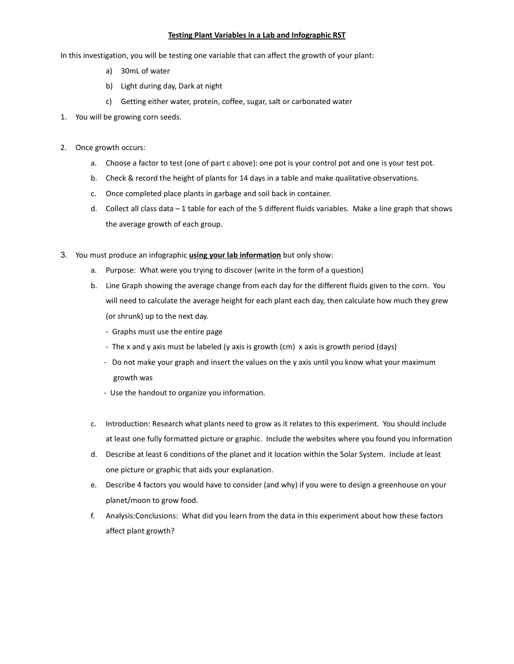## Testing Plant Variables in a Lab and Infographic RST

In this investigation, you will be testing one variable that can affect the growth of your plant:

- a) 30mL of water
- b) Light during day, Dark at night
- c) Getting either water, protein, coffee, sugar, salt or carbonated water
- 1. You will be growing corn seeds.
- 2. Once growth occurs:
	- a. Choose a factor to test (one of part c above): one pot is your control pot and one is your test pot.
	- b. Check & record the height of plants for 14 days in a table and make qualitative observations.
	- c. Once completed place plants in garbage and soil back in container.
	- d. Collect all class data 1 table for each of the 5 different fluids variables. Make a line graph that shows the average growth of each group.
- 3. You must produce an infographic *using your lab information* but only show:
	- a. Purpose: What were you trying to discover (write in the form of a question)
	- b. Line Graph showing the average change from each day for the different fluids given to the corn. You will need to calculate the average height for each plant each day, then calculate how much they grew (or shrunk) up to the next day.
		- Graphs must use the entire page
		- The x and y axis must be labeled (y axis is growth (cm) x axis is growth period (days)
		- Do not make your graph and insert the values on the y axis until you know what your maximum growth was
		- Use the handout to organize you information.
	- c. Introduction: Research what plants need to grow as it relates to this experiment. You should include at least one fully formatted picture or graphic. Include the websites where you found you information
	- d. Describe at least 6 conditions of the planet and it location within the Solar System. Include at least one picture or graphic that aids your explanation.
	- e. Describe 4 factors you would have to consider (and why) if you were to design a greenhouse on your planet/moon to grow food.
	- f. Analysis:Conclusions: What did you learn from the data in this experiment about how these factors affect plant growth?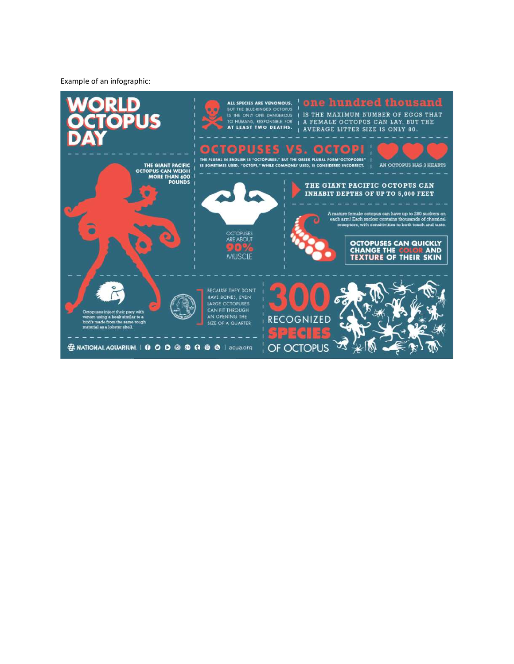Example of an infographic: